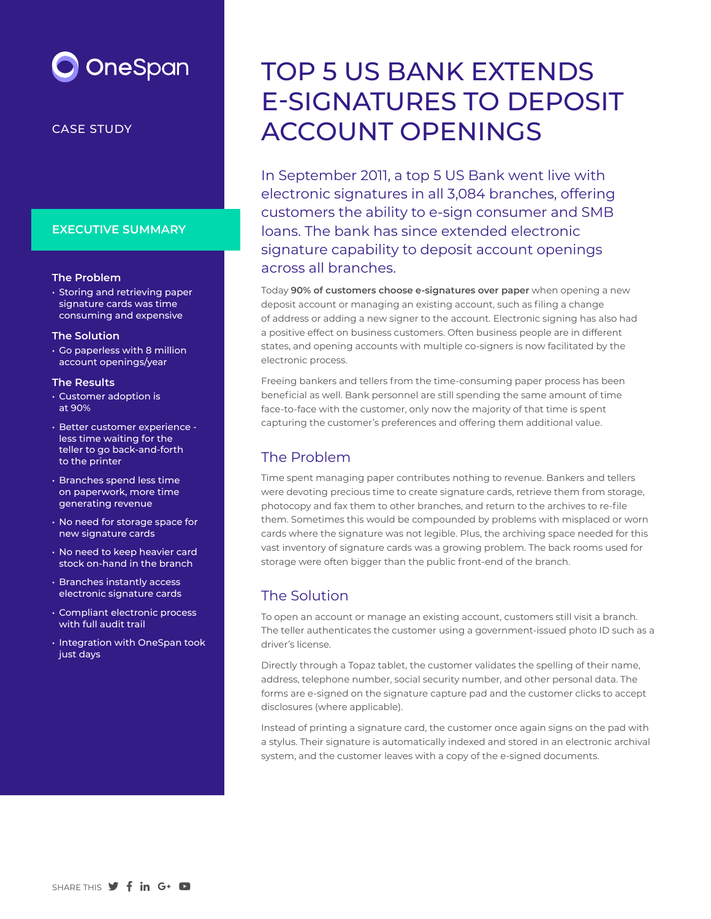# **OneSpan**

#### CASE STUDY

### **EXECUTIVE SUMMARY**

#### **The Problem**

• Storing and retrieving paper signature cards was time consuming and expensive

#### **The Solution**

• Go paperless with 8 million account openings/year

#### **The Results**

- Customer adoption is at 90%
- Better customer experience less time waiting for the teller to go back-and-forth to the printer
- Branches spend less time on paperwork, more time generating revenue
- No need for storage space for new signature cards
- No need to keep heavier card stock on-hand in the branch
- Branches instantly access electronic signature cards
- Compliant electronic process with full audit trail
- Integration with OneSpan took just days

## TOP 5 US BANK EXTENDS E-SIGNATURES TO DEPOSIT ACCOUNT OPENINGS

In September 2011, a top 5 US Bank went live with electronic signatures in all 3,084 branches, offering customers the ability to e-sign consumer and SMB loans. The bank has since extended electronic signature capability to deposit account openings across all branches.

Today **90% of customers choose e-signatures over paper** when opening a new deposit account or managing an existing account, such as filing a change of address or adding a new signer to the account. Electronic signing has also had a positive effect on business customers. Often business people are in different states, and opening accounts with multiple co-signers is now facilitated by the electronic process.

Freeing bankers and tellers from the time-consuming paper process has been beneficial as well. Bank personnel are still spending the same amount of time face-to-face with the customer, only now the majority of that time is spent capturing the customer's preferences and offering them additional value.

## The Problem

Time spent managing paper contributes nothing to revenue. Bankers and tellers were devoting precious time to create signature cards, retrieve them from storage, photocopy and fax them to other branches, and return to the archives to re-file them. Sometimes this would be compounded by problems with misplaced or worn cards where the signature was not legible. Plus, the archiving space needed for this vast inventory of signature cards was a growing problem. The back rooms used for storage were often bigger than the public front-end of the branch.

## The Solution

To open an account or manage an existing account, customers still visit a branch. The teller authenticates the customer using a government-issued photo ID such as a driver's license.

Directly through a Topaz tablet, the customer validates the spelling of their name, address, telephone number, social security number, and other personal data. The forms are e-signed on the signature capture pad and the customer clicks to accept disclosures (where applicable).

Instead of printing a signature card, the customer once again signs on the pad with a stylus. Their signature is automatically indexed and stored in an electronic archival system, and the customer leaves with a copy of the e-signed documents.